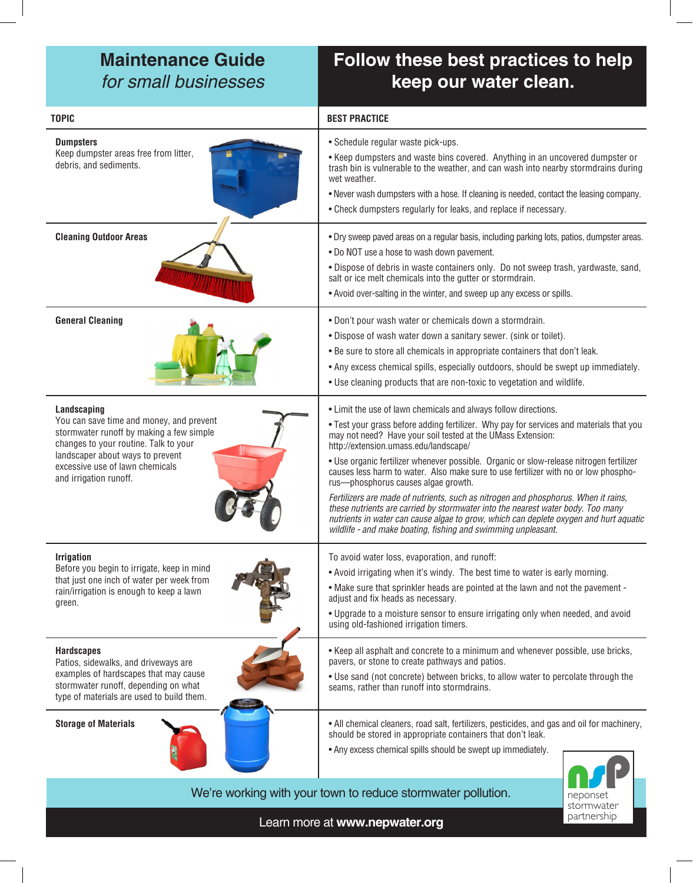## **Maintenance Guide** for small businesses

# **Follow these best practices to help keep our water clean.**

| <b>TOPIC</b>                                                                                                                                                                                                                                  | <b>BEST PRACTICE</b>                                                                                                                                                                                                                                                                                                                                                                                                                                                                                                                                                                                                                                                                                                                                                                                                           |
|-----------------------------------------------------------------------------------------------------------------------------------------------------------------------------------------------------------------------------------------------|--------------------------------------------------------------------------------------------------------------------------------------------------------------------------------------------------------------------------------------------------------------------------------------------------------------------------------------------------------------------------------------------------------------------------------------------------------------------------------------------------------------------------------------------------------------------------------------------------------------------------------------------------------------------------------------------------------------------------------------------------------------------------------------------------------------------------------|
| <b>Dumpsters</b><br>Keep dumpster areas free from litter,<br>debris, and sediments.                                                                                                                                                           | • Schedule regular waste pick-ups.<br>• Keep dumpsters and waste bins covered. Anything in an uncovered dumpster or<br>trash bin is vulnerable to the weather, and can wash into nearby stormdrains during<br>wet weather.<br>. Never wash dumpsters with a hose. If cleaning is needed, contact the leasing company.<br>• Check dumpsters regularly for leaks, and replace if necessary.                                                                                                                                                                                                                                                                                                                                                                                                                                      |
| <b>Cleaning Outdoor Areas</b>                                                                                                                                                                                                                 | . Dry sweep paved areas on a regular basis, including parking lots, patios, dumpster areas.<br>. Do NOT use a hose to wash down pavement.<br>. Dispose of debris in waste containers only. Do not sweep trash, yardwaste, sand,<br>salt or ice melt chemicals into the gutter or stormdrain.<br>. Avoid over-salting in the winter, and sweep up any excess or spills.                                                                                                                                                                                                                                                                                                                                                                                                                                                         |
| <b>General Cleaning</b>                                                                                                                                                                                                                       | . Don't pour wash water or chemicals down a stormdrain.<br>. Dispose of wash water down a sanitary sewer. (sink or toilet).<br>. Be sure to store all chemicals in appropriate containers that don't leak.<br>• Any excess chemical spills, especially outdoors, should be swept up immediately.<br>. Use cleaning products that are non-toxic to vegetation and wildlife.                                                                                                                                                                                                                                                                                                                                                                                                                                                     |
| Landscaping<br>You can save time and money, and prevent<br>stormwater runoff by making a few simple<br>changes to your routine. Talk to your<br>landscaper about ways to prevent<br>excessive use of lawn chemicals<br>and irrigation runoff. | • Limit the use of lawn chemicals and always follow directions.<br>. Test your grass before adding fertilizer. Why pay for services and materials that you<br>may not need? Have your soil tested at the UMass Extension:<br>http://extension.umass.edu/landscape/<br>. Use organic fertilizer whenever possible. Organic or slow-release nitrogen fertilizer<br>causes less harm to water. Also make sure to use fertilizer with no or low phospho-<br>rus-phosphorus causes algae growth.<br>Fertilizers are made of nutrients, such as nitrogen and phosphorus. When it rains,<br>these nutrients are carried by stormwater into the nearest water body. Too many<br>nutrients in water can cause algae to grow, which can deplete oxygen and hurt aquatic<br>wildlife - and make boating, fishing and swimming unpleasant. |
| <b>Irrigation</b><br>Before you begin to irrigate, keep in mind<br>that just one inch of water per week from<br>rain/irrigation is enough to keep a lawn<br>green.                                                                            | To avoid water loss, evaporation, and runoff:<br>• Avoid irrigating when it's windy. The best time to water is early morning.<br>. Make sure that sprinkler heads are pointed at the lawn and not the pavement -<br>adjust and fix heads as necessary.<br>. Upgrade to a moisture sensor to ensure irrigating only when needed, and avoid<br>using old-fashioned irrigation timers.                                                                                                                                                                                                                                                                                                                                                                                                                                            |
| <b>Hardscapes</b><br>Patios, sidewalks, and driveways are<br>examples of hardscapes that may cause<br>stormwater runoff, depending on what<br>type of materials are used to build them.                                                       | • Keep all asphalt and concrete to a minimum and whenever possible, use bricks,<br>pavers, or stone to create pathways and patios.<br>. Use sand (not concrete) between bricks, to allow water to percolate through the<br>seams, rather than runoff into stormdrains.                                                                                                                                                                                                                                                                                                                                                                                                                                                                                                                                                         |
| <b>Storage of Materials</b>                                                                                                                                                                                                                   | • All chemical cleaners, road salt, fertilizers, pesticides, and gas and oil for machinery,<br>should be stored in appropriate containers that don't leak.<br>• Any excess chemical spills should be swept up immediately.                                                                                                                                                                                                                                                                                                                                                                                                                                                                                                                                                                                                     |
| We're working with your town to reduce stormwater pollution.<br>neponset<br>stormwater                                                                                                                                                        |                                                                                                                                                                                                                                                                                                                                                                                                                                                                                                                                                                                                                                                                                                                                                                                                                                |

Learn more at **www.nepwater.org**

partnership